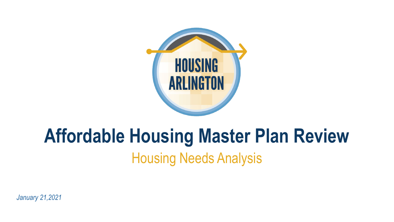

## **Affordable Housing Master Plan Review** Housing Needs Analysis

*January 21,2021*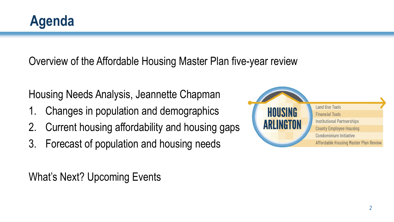Overview of the Affordable Housing Master Plan five-year review

Housing Needs Analysis, Jeannette Chapman

- 1. Changes in population and demographics
- 2. Current housing affordability and housing gaps
- 3. Forecast of population and housing needs

What's Next? Upcoming Events

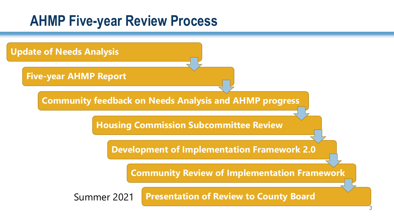### **AHMP Five-year Review Process**

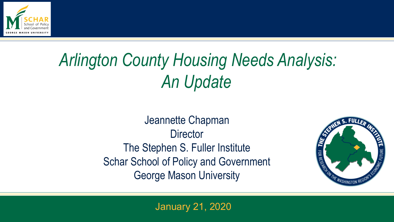

# *Arlington County Housing Needs Analysis: An Update*

Jeannette Chapman **Director** The Stephen S. Fuller Institute Schar School of Policy and Government George Mason University



January 21, 2020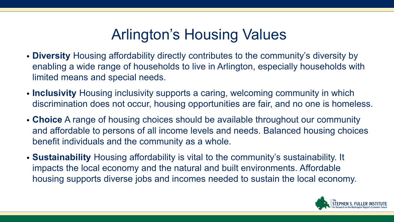## Arlington's Housing Values

- **Diversity** Housing affordability directly contributes to the community's diversity by enabling a wide range of households to live in Arlington, especially households with limited means and special needs.
- **Inclusivity** Housing inclusivity supports a caring, welcoming community in which discrimination does not occur, housing opportunities are fair, and no one is homeless.
- **Choice** A range of housing choices should be available throughout our community and affordable to persons of all income levels and needs. Balanced housing choices benefit individuals and the community as a whole.
- **Sustainability** Housing affordability is vital to the community's sustainability. It impacts the local economy and the natural and built environments. Affordable housing supports diverse jobs and incomes needed to sustain the local economy.

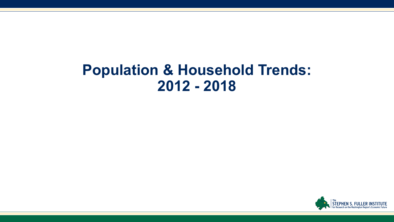### **Population & Household Trends: 2012 - 2018**

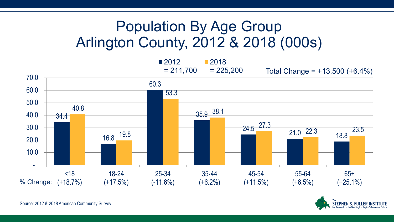### Population By Age Group Arlington County, 2012 & 2018 (000s)



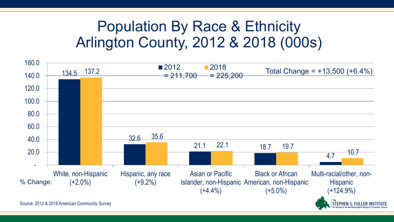### Population By Race & Ethnicity Arlington County, 2012 & 2018 (000s)

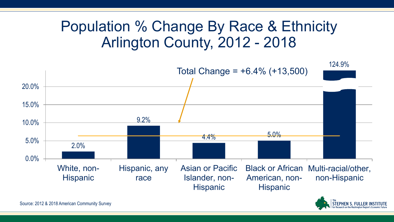### Population % Change By Race & Ethnicity Arlington County, 2012 - 2018



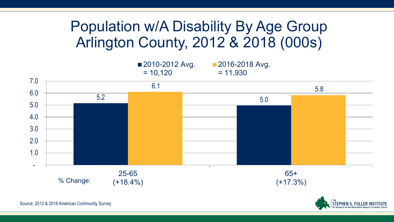### Population w/A Disability By Age Group Arlington County, 2012 & 2018 (000s)



PHEN S. FULLEI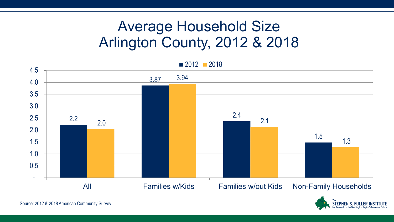### Average Household Size Arlington County, 2012 & 2018

2.2 3.87 2.4 1.5 2.0 3.94 2.1 1.3 - 0.5 1.0 1.5 2.0 2.5 3.0 3.5 4.0 4.5 All Families w/Kids Families w/out Kids Non-Family Households ■ 2012 ■ 2018

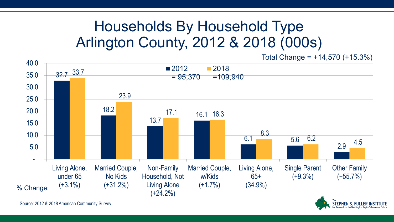### Households By Household Type Arlington County, 2012 & 2018 (000s)

Total Change = +14,570 (+15.3%)

**STEPHEN S. FULLER II** 

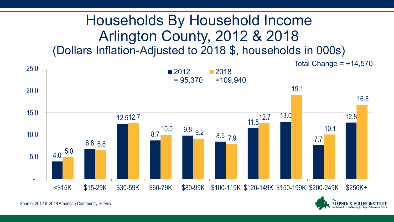#### Households By Household Income Arlington County, 2012 & 2018 (Dollars Inflation-Adjusted to 2018 \$, households in 000s)

4.0 6.8 6.6 12.5 12.7 8.7 10.0 9.8 9.2  $\frac{8.5}{7.9}$ 11.5 13.0 7.7 12.8 5.0 12.7 19.1 10.1 16.8 - 5.0 10.0 15.0 20.0 25.0 <\$15K \$15-29K \$30-59K \$60-79K \$80-99K \$100-119K \$120-149K \$150-199K \$200-249K \$250K+ ■2012  $= 95,370$ ■2018 =109,940 Total Change =  $+14,570$ 

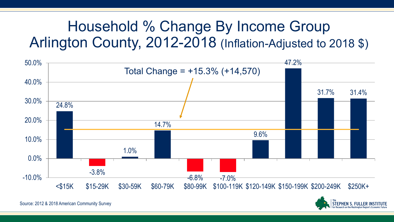### Household % Change By Income Group Arlington County, 2012-2018 (Inflation-Adjusted to 2018 \$)





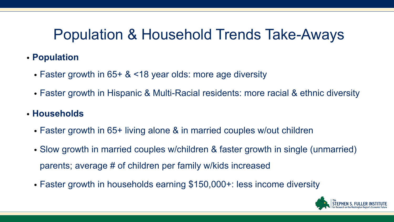### Population & Household Trends Take-Aways

- **Population**
	- Faster growth in 65+ & <18 year olds: more age diversity
	- Faster growth in Hispanic & Multi-Racial residents: more racial & ethnic diversity
- **Households**
	- Faster growth in 65+ living alone & in married couples w/out children
	- Slow growth in married couples w/children & faster growth in single (unmarried) parents; average # of children per family w/kids increased
	- Faster growth in households earning \$150,000+: less income diversity

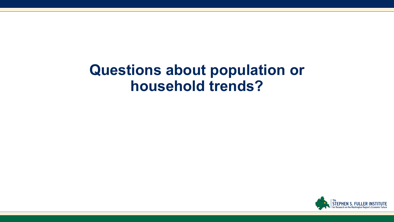### **Questions about population or household trends?**

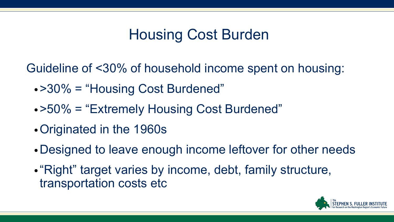### Housing Cost Burden

Guideline of <30% of household income spent on housing:

- •>30% = "Housing Cost Burdened"
- •>50% = "Extremely Housing Cost Burdened"
- •Originated in the 1960s
- •Designed to leave enough income leftover for other needs
- "Right" target varies by income, debt, family structure, transportation costs etc

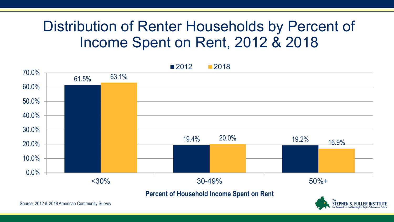### Distribution of Renter Households by Percent of Income Spent on Rent, 2012 & 2018



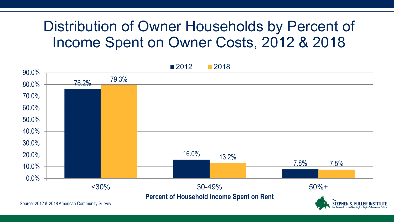### Distribution of Owner Households by Percent of Income Spent on Owner Costs, 2012 & 2018

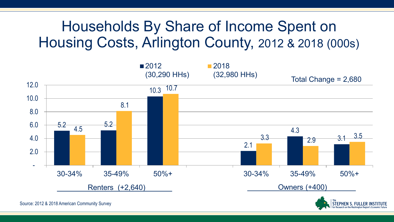### Households By Share of Income Spent on Housing Costs, Arlington County, 2012 & 2018 (000s)



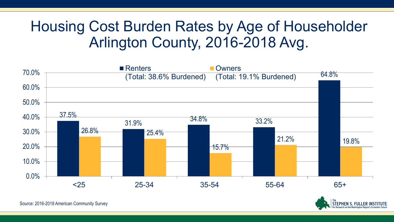### Housing Cost Burden Rates by Age of Householder Arlington County, 2016-2018 Avg.



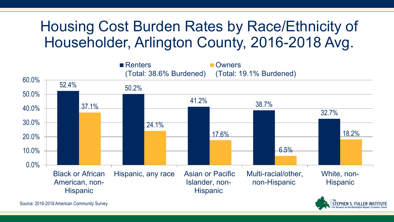### Housing Cost Burden Rates by Race/Ethnicity of Householder, Arlington County, 2016-2018 Avg.

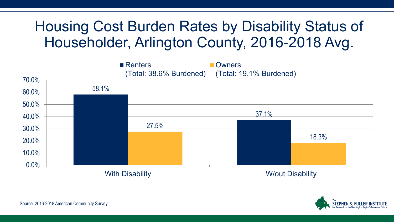### Housing Cost Burden Rates by Disability Status of Householder, Arlington County, 2016-2018 Avg.



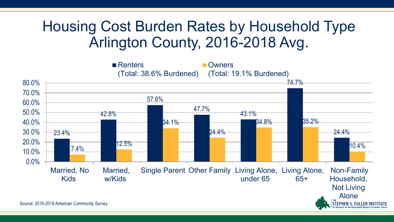### Housing Cost Burden Rates by Household Type Arlington County, 2016-2018 Avg.

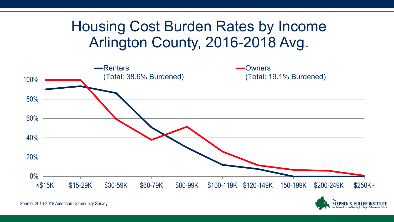### Housing Cost Burden Rates by Income Arlington County, 2016-2018 Avg.





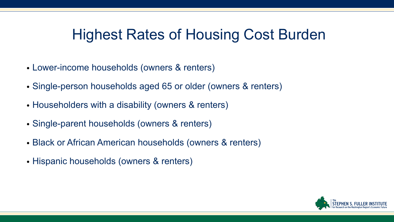### Highest Rates of Housing Cost Burden

- Lower-income households (owners & renters)
- Single-person households aged 65 or older (owners & renters)
- Householders with a disability (owners & renters)
- Single-parent households (owners & renters)
- Black or African American households (owners & renters)
- Hispanic households (owners & renters)

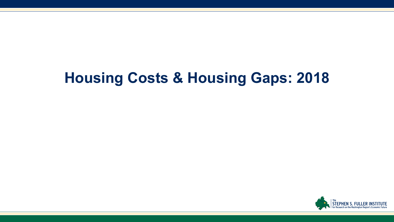### **Housing Costs & Housing Gaps: 2018**

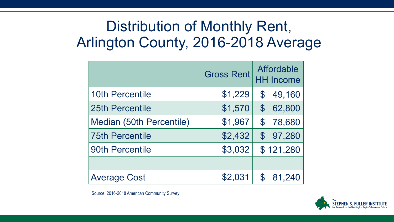### Distribution of Monthly Rent, Arlington County, 2016-2018 Average

|                          | <b>Gross Rent</b> | Affordable<br><b>HH Income</b> |
|--------------------------|-------------------|--------------------------------|
| <b>10th Percentile</b>   | \$1,229           | 49,160<br>$\mathfrak{F}$       |
| 25th Percentile          | \$1,570           | $\mathbb{S}^-$<br>62,800       |
| Median (50th Percentile) | \$1,967           | $\mathbb S$<br>78,680          |
| <b>75th Percentile</b>   | \$2,432           | \$97,280                       |
| <b>90th Percentile</b>   | \$3,032           | \$121,280                      |
|                          |                   |                                |
| <b>Average Cost</b>      | \$2,031           | $\mathcal{S}$<br>81,240        |

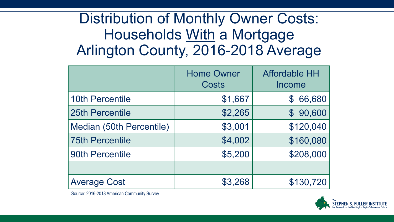### Distribution of Monthly Owner Costs: Households With a Mortgage Arlington County, 2016-2018 Average

|                          | <b>Home Owner</b><br>Costs | <b>Affordable HH</b><br>Income |
|--------------------------|----------------------------|--------------------------------|
| <b>10th Percentile</b>   | \$1,667                    | 66,680<br>$\mathfrak{F}$       |
| <b>25th Percentile</b>   | \$2,265                    | \$90,600                       |
| Median (50th Percentile) | \$3,001                    | \$120,040                      |
| <b>75th Percentile</b>   | \$4,002                    | \$160,080                      |
| <b>90th Percentile</b>   | \$5,200                    | \$208,000                      |
|                          |                            |                                |
| <b>Average Cost</b>      | \$3,268                    | \$130,720                      |

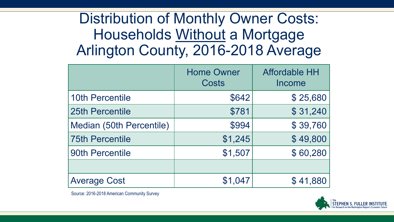### Distribution of Monthly Owner Costs: Households Without a Mortgage Arlington County, 2016-2018 Average

|                          | <b>Home Owner</b><br>Costs | <b>Affordable HH</b><br>Income |
|--------------------------|----------------------------|--------------------------------|
| <b>10th Percentile</b>   | \$642                      | \$25,680                       |
| 25th Percentile          | \$781                      | \$31,240                       |
| Median (50th Percentile) | \$994                      | \$39,760                       |
| <b>75th Percentile</b>   | \$1,245                    | \$49,800                       |
| <b>90th Percentile</b>   | \$1,507                    | \$60,280                       |
|                          |                            |                                |
| <b>Average Cost</b>      | \$1,047                    | \$41,880                       |

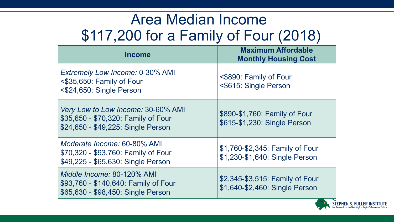### Area Median Income \$117,200 for a Family of Four (2018)

| Income                                                                                                          | <b>Maximum Affordable</b><br><b>Monthly Housing Cost</b>          |
|-----------------------------------------------------------------------------------------------------------------|-------------------------------------------------------------------|
| <b>Extremely Low Income: 0-30% AMI</b><br><\$35,650: Family of Four<br><\$24,650: Single Person                 | <\$890: Family of Four<br><\$615: Single Person                   |
| Very Low to Low Income: 30-60% AMI<br>\$35,650 - \$70,320: Family of Four<br>\$24,650 - \$49,225: Single Person | \$890-\$1,760: Family of Four<br>\$615-\$1,230: Single Person     |
| Moderate Income: 60-80% AMI<br>\$70,320 - \$93,760: Family of Four<br>\$49,225 - \$65,630: Single Person        | \$1,760-\$2,345: Family of Four<br>\$1,230-\$1,640: Single Person |
| Middle Income: 80-120% AMI<br>\$93,760 - \$140,640: Family of Four<br>\$65,630 - \$98,450: Single Person        | \$2,345-\$3,515: Family of Four<br>\$1,640-\$2,460: Single Person |

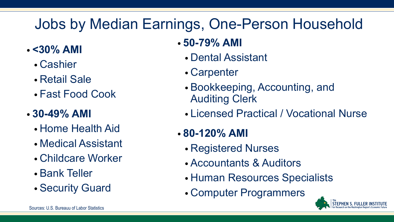### Jobs by Median Earnings, One-Person Household

- **<30% AMI**
	- Cashier
	- Retail Sale
	- Fast Food Cook

#### • **30-49% AMI**

- Home Health Aid
- Medical Assistant
- Childcare Worker
- Bank Teller
- Security Guard

#### • **50-79% AMI**

- Dental Assistant
- Carpenter
- Bookkeeping, Accounting, and Auditing Clerk
- Licensed Practical / Vocational Nurse
- **80-120% AMI**
	- Registered Nurses
	- Accountants & Auditors
	- Human Resources Specialists
	- Computer Programmers

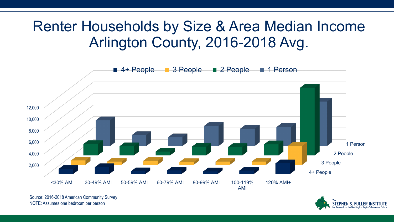### Renter Households by Size & Area Median Income Arlington County, 2016-2018 Avg.



Source: 2016-2018 American Community Survey NOTE: Assumes one bedroom per person

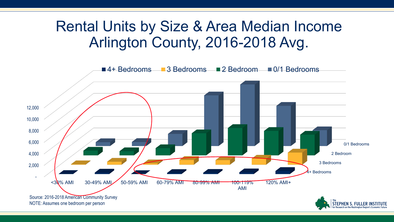### Rental Units by Size & Area Median Income Arlington County, 2016-2018 Avg.

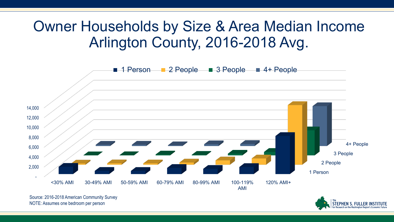### Owner Households by Size & Area Median Income Arlington County, 2016-2018 Avg.



Source: 2016-2018 American Community Survey NOTE: Assumes one bedroom per person

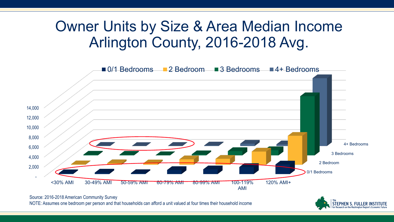### Owner Units by Size & Area Median Income Arlington County, 2016-2018 Avg.



Source: 2016-2018 American Community Survey

NOTE: Assumes one bedroom per person and that households can afford a unit valued at four times their household income

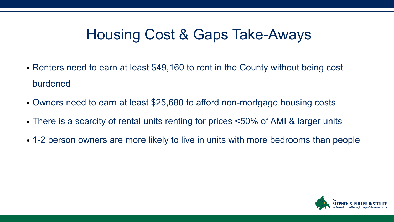### Housing Cost & Gaps Take-Aways

- Renters need to earn at least \$49,160 to rent in the County without being cost burdened
- Owners need to earn at least \$25,680 to afford non-mortgage housing costs
- There is a scarcity of rental units renting for prices <50% of AMI & larger units
- 1-2 person owners are more likely to live in units with more bedrooms than people

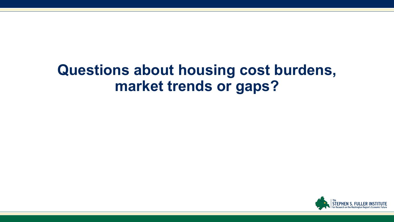### **Questions about housing cost burdens, market trends or gaps?**

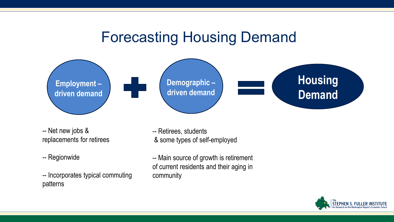#### Forecasting Housing Demand



-- Net new jobs & replacements for retirees

-- Regionwide

-- Incorporates typical commuting patterns

-- Retirees, students & some types of self-employed

-- Main source of growth is retirement of current residents and their aging in community

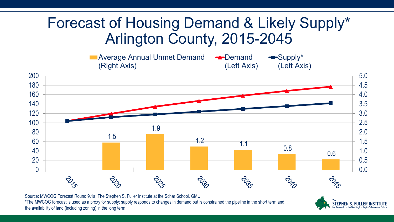### Forecast of Housing Demand & Likely Supply\* Arlington County, 2015-2045



Source: MWCOG Forecast Round 9.1a; The Stephen S. Fuller Institute at the Schar School, GMU \*The MWCOG forecast is used as a proxy for supply; supply responds to changes in demand but is constrained the pipeline in the short term and the availability of land (including zoning) in the long term

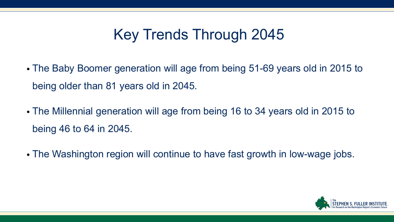### Key Trends Through 2045

- The Baby Boomer generation will age from being 51-69 years old in 2015 to being older than 81 years old in 2045.
- The Millennial generation will age from being 16 to 34 years old in 2015 to being 46 to 64 in 2045.
- The Washington region will continue to have fast growth in low-wage jobs.

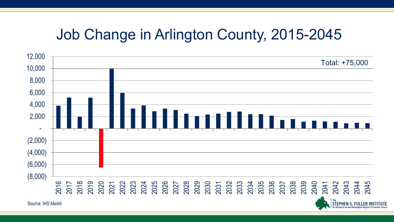### Job Change in Arlington County, 2015-2045



Source: IHS Markit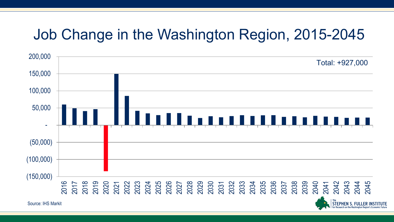### Job Change in the Washington Region, 2015-2045



Source: IHS Markit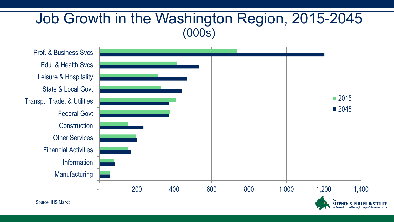#### Job Growth in the Washington Region, 2015-2045 (000s)

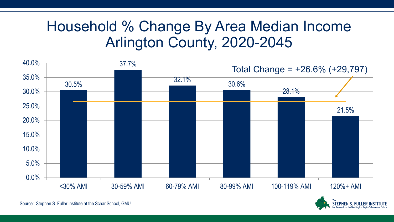### Household % Change By Area Median Income Arlington County, 2020-2045



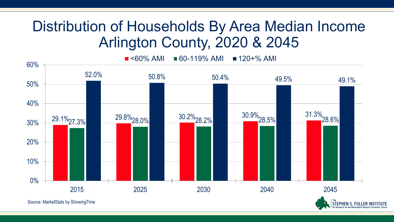### Distribution of Households By Area Median Income Arlington County, 2020 & 2045

 $\blacksquare$  <60% AMI  $\blacksquare$  60-119% AMI  $\blacksquare$  120+% AMI



**STEPHEN S. FULLI**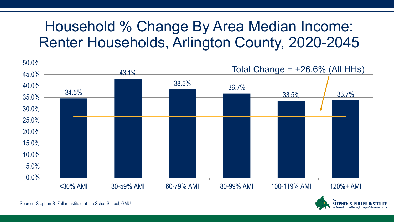### Household % Change By Area Median Income: Renter Households, Arlington County, 2020-2045



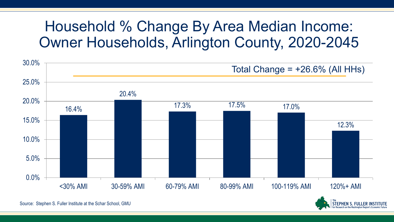### Household % Change By Area Median Income: Owner Households, Arlington County, 2020-2045



Source: Stephen S. Fuller Institute at the Schar School, GMU

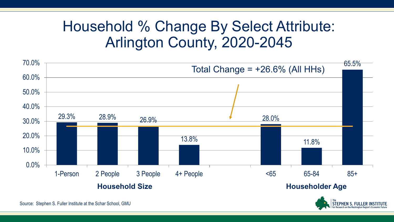### Household % Change By Select Attribute: Arlington County, 2020-2045





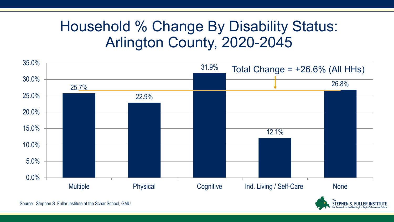### Household % Change By Disability Status: Arlington County, 2020-2045



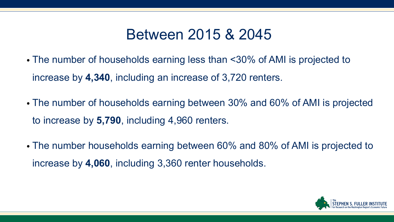### Between 2015 & 2045

- The number of households earning less than <30% of AMI is projected to increase by **4,340**, including an increase of 3,720 renters.
- The number of households earning between 30% and 60% of AMI is projected to increase by **5,790**, including 4,960 renters.
- The number households earning between 60% and 80% of AMI is projected to increase by **4,060**, including 3,360 renter households.

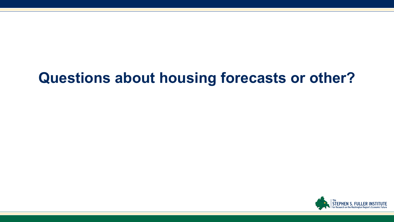### **Questions about housing forecasts or other?**

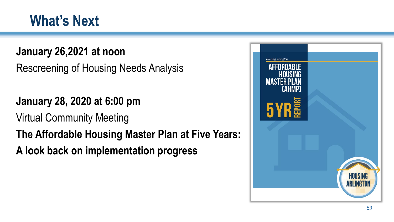### **What's Next**

#### **January 26,2021 at noon**

Rescreening of Housing Needs Analysis

#### **January 28, 2020 at 6:00 pm**

Virtual Community Meeting

### **The Affordable Housing Master Plan at Five Years:**

**A look back on implementation progress**